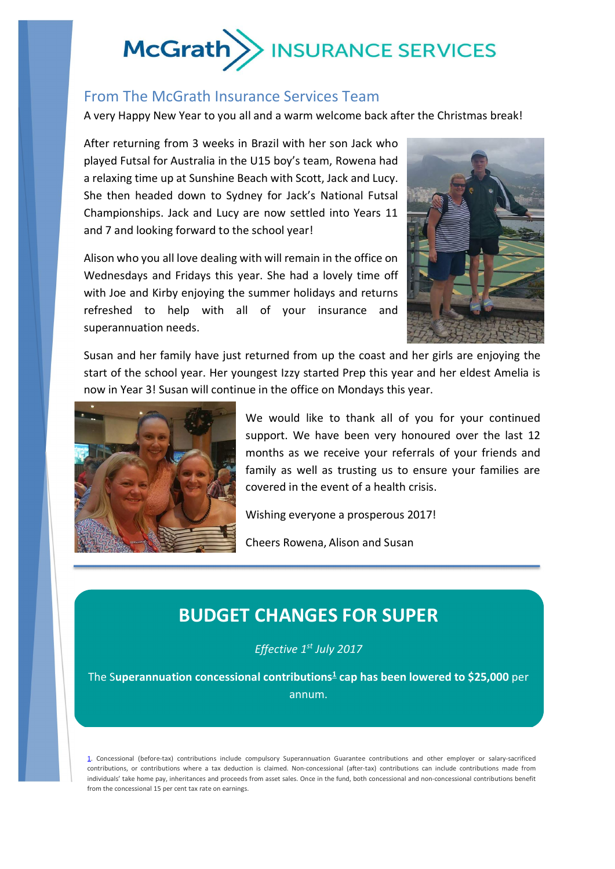# McGrath >> INSURANCE SERVICES

## From The McGrath Insurance Services Team

A very Happy New Year to you all and a warm welcome back after the Christmas break!

After returning from 3 weeks in Brazil with her son Jack who played Futsal for Australia in the U15 boy's team, Rowena had a relaxing time up at Sunshine Beach with Scott, Jack and Lucy. She then headed down to Sydney for Jack's National Futsal Championships. Jack and Lucy are now settled into Years 11 and 7 and looking forward to the school year!

Alison who you all love dealing with will remain in the office on Wednesdays and Fridays this year. She had a lovely time off with Joe and Kirby enjoying the summer holidays and returns refreshed to help with all of your insurance and superannuation needs.



Susan and her family have just returned from up the coast and her girls are enjoying the start of the school year. Her youngest Izzy started Prep this year and her eldest Amelia is now in Year 3! Susan will continue in the office on Mondays this year.



We would like to thank all of you for your continued support. We have been very honoured over the last 12 months as we receive your referrals of your friends and family as well as trusting us to ensure your families are covered in the event of a health crisis.

Wishing everyone a prosperous 2017!

Cheers Rowena, Alison and Susan

# **BUDGET CHANGES FOR SUPER**

*Effective 1st July 2017*

The Superannuation concessional contributions<sup>1</sup> cap has been lowered to \$25,000 per annum.

*If this affects you, please contact our office to review your options.*

1. Concessional (before-tax) contributions include compulsory Superannuation Guarantee contributions and other employer or salary-sacrificed contributions, or contributions where a tax deduction is claimed. Non-concessional (after-tax) contributions can include contributions made from individuals' take home pay, inheritances and proceeds from asset sales. Once in the fund, both concessional and non-concessional contributions benefit from the concessional 15 per cent tax rate on earnings.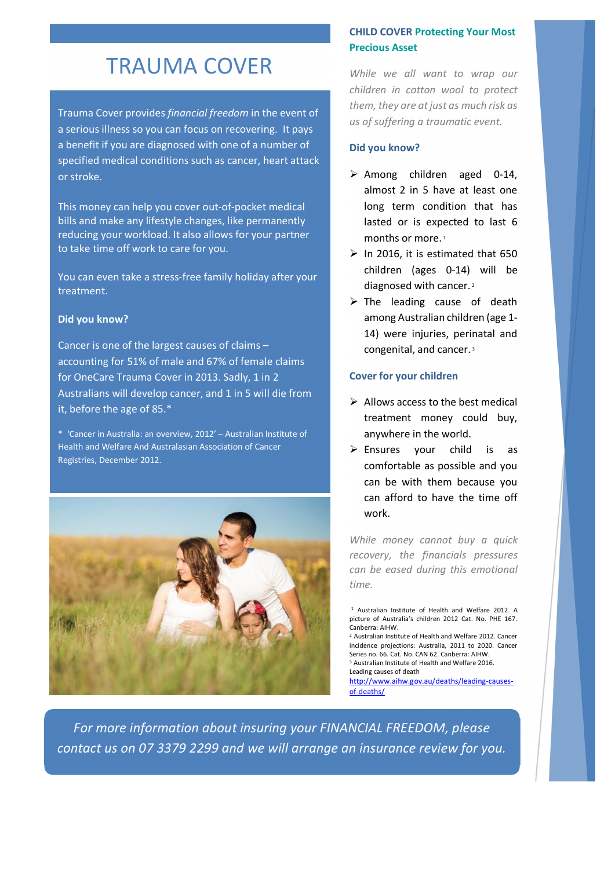# TRAUMA COVER

Trauma Cover provides *financial freedom* in the event of a serious illness so you can focus on recovering. It pays a benefit if you are diagnosed with one of a number of specified medical conditions such as cancer, heart attack or stroke.

This money can help you cover out-of-pocket medical bills and make any lifestyle changes, like permanently reducing your workload. It also allows for your partner to take time off work to care for you.

You can even take a stress-free family holiday after your treatment.

#### **Did you know?**

Cancer is one of the largest causes of claims – accounting for 51% of male and 67% of female claims for OneCare Trauma Cover in 2013. Sadly, 1 in 2 Australians will develop cancer, and 1 in 5 will die from it, before the age of 85.\*

\* 'Cancer in Australia: an overview, 2012' – Australian Institute of Health and Welfare And Australasian Association of Cancer Registries, December 2012.



### **CHILD COVER Protecting Your Most Precious Asset**

*While we all want to wrap our children in cotton wool to protect them, they are at just as much risk as us of suffering a traumatic event.* 

#### **Did you know?**

- $\triangleright$  Among children aged 0-14, almost 2 in 5 have at least one long term condition that has lasted or is expected to last 6 months or more.<sup>1</sup>
- $\triangleright$  In 2016, it is estimated that 650 children (ages 0-14) will be diagnosed with cancer.<sup>2</sup>
- $\triangleright$  The leading cause of death among Australian children (age 1- 14) were injuries, perinatal and congenital, and cancer. <sup>3</sup>

#### **Cover for your children**

- $\triangleright$  Allows access to the best medical treatment money could buy, anywhere in the world.
- $\triangleright$  Ensures your child is as comfortable as possible and you can be with them because you can afford to have the time off work.

*While money cannot buy a quick recovery, the financials pressures can be eased during this emotional time.*

<sup>2</sup> Australian Institute of Health and Welfare 2012. Cancer incidence projections: Australia, 2011 to 2020. Cancer Series no. 66. Cat. No. CAN 62. Canberra: AIHW. <sup>3</sup> Australian Institute of Health and Welfare 2016. Leading causes of death

http://www.aihw.gov.au/deaths/leading-causesof-deaths/

*For more information about insuring your FINANCIAL FREEDOM, please contact us on 07 3379 2299 and we will arrange an insurance review for you.* 

<sup>1</sup> Australian Institute of Health and Welfare 2012. A picture of Australia's children 2012 Cat. No. PHE 167. Canberra: AIHW.